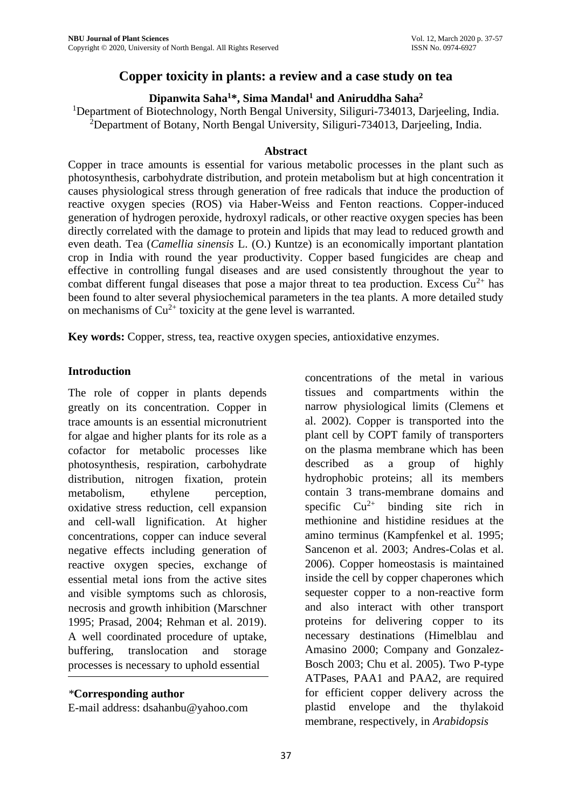# **Copper toxicity in plants: a review and a case study on tea**

#### **Dipanwita Saha<sup>1</sup>\*, Sima Mandal<sup>1</sup> and Aniruddha Saha<sup>2</sup>**

<sup>1</sup>Department of Biotechnology, North Bengal University, Siliguri-734013, Darjeeling, India. <sup>2</sup>Department of Botany, North Bengal University, Siliguri-734013, Darjeeling, India.

#### **Abstract**

Copper in trace amounts is essential for various metabolic processes in the plant such as photosynthesis, carbohydrate distribution, and protein metabolism but at high concentration it causes physiological stress through generation of free radicals that induce the production of reactive oxygen species (ROS) via Haber-Weiss and Fenton reactions. Copper-induced generation of hydrogen peroxide, hydroxyl radicals, or other reactive oxygen species has been directly correlated with the damage to protein and lipids that may lead to reduced growth and even death. Tea (*Camellia sinensis* L. (O.) Kuntze) is an economically important plantation crop in India with round the year productivity. Copper based fungicides are cheap and effective in controlling fungal diseases and are used consistently throughout the year to combat different fungal diseases that pose a major threat to tea production. Excess  $Cu^{2+}$  has been found to alter several physiochemical parameters in the tea plants. A more detailed study on mechanisms of  $Cu^{2+}$  toxicity at the gene level is warranted.

**Key words:** Copper, stress, tea, reactive oxygen species, antioxidative enzymes.

#### **Introduction**

The role of copper in plants depends greatly on its concentration. Copper in trace amounts is an essential micronutrient for algae and higher plants for its role as a cofactor for metabolic processes like photosynthesis, respiration, carbohydrate distribution, nitrogen fixation, protein metabolism, ethylene perception, oxidative stress reduction, cell expansion and cell-wall lignification. At higher concentrations, copper can induce several negative effects including generation of reactive oxygen species, exchange of essential metal ions from the active sites and visible symptoms such as chlorosis, necrosis and growth inhibition (Marschner 1995; Prasad, 2004; Rehman et al. 2019). A well coordinated procedure of uptake, buffering, translocation and storage processes is necessary to uphold essential

#### *\****Corresponding author**

E-mail address: [dsahanbu@yahoo.com](mailto:dsahanbu@yahoo.com)

concentrations of the metal in various tissues and compartments within the narrow physiological limits (Clemens et al. 2002). Copper is transported into the plant cell by COPT family of transporters on the plasma membrane which has been described as a group of highly hydrophobic proteins; all its members contain 3 trans-membrane domains and specific  $Cu^{2+}$  binding site rich in methionine and histidine residues at the amino terminus (Kampfenkel et al. 1995; Sancenon et al. 2003; Andres-Colas et al. 2006). Copper homeostasis is maintained inside the cell by copper chaperones which sequester copper to a non-reactive form and also interact with other transport proteins for delivering copper to its necessary destinations (Himelblau and Amasino 2000; Company and Gonzalez-Bosch 2003; Chu et al. 2005). Two P-type ATPases, PAA1 and PAA2, are required for efficient copper delivery across the plastid envelope and the thylakoid membrane, respectively, in *Arabidopsis*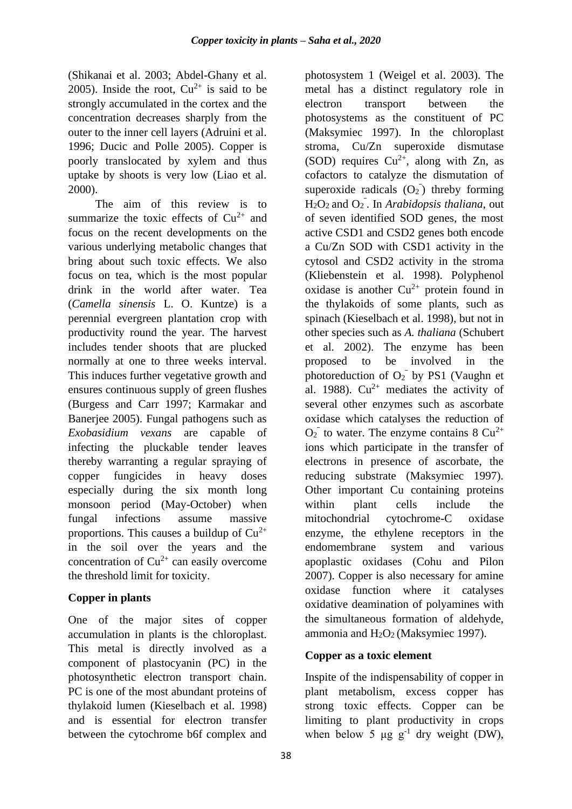(Shikanai et al. 2003; Abdel-Ghany et al. 2005). Inside the root,  $Cu^{2+}$  is said to be strongly accumulated in the cortex and the concentration decreases sharply from the outer to the inner cell layers (Adruini et al. 1996; Ducic and Polle 2005). Copper is poorly translocated by xylem and thus uptake by shoots is very low (Liao et al. 2000).

The aim of this review is to summarize the toxic effects of  $Cu^{2+}$  and focus on the recent developments on the various underlying metabolic changes that bring about such toxic effects. We also focus on tea, which is the most popular drink in the world after water. Tea (*Camella sinensis* L. O. Kuntze) is a perennial evergreen plantation crop with productivity round the year. The harvest includes tender shoots that are plucked normally at one to three weeks interval. This induces further vegetative growth and ensures continuous supply of green flushes (Burgess and Carr 1997; Karmakar and Banerjee 2005). Fungal pathogens such as *Exobasidium vexans* are capable of infecting the pluckable tender leaves thereby warranting a regular spraying of copper fungicides in heavy doses especially during the six month long monsoon period (May-October) when fungal infections assume massive proportions. This causes a buildup of  $Cu^{2+}$ in the soil over the years and the concentration of  $Cu^{2+}$  can easily overcome the threshold limit for toxicity.

# **Copper in plants**

One of the major sites of copper accumulation in plants is the chloroplast. This metal is directly involved as a component of plastocyanin (PC) in the photosynthetic electron transport chain. PC is one of the most abundant proteins of thylakoid lumen (Kieselbach et al. 1998) and is essential for electron transfer between the cytochrome b6f complex and

photosystem 1 (Weigel et al. 2003). The metal has a distinct regulatory role in electron transport between the photosystems as the constituent of PC (Maksymiec 1997). In the chloroplast stroma, Cu/Zn superoxide dismutase (SOD) requires  $Cu^{2+}$ , along with Zn, as cofactors to catalyze the dismutation of superoxide radicals  $(O_2)$  threby forming  $H<sub>2</sub>O<sub>2</sub>$  and  $O<sub>2</sub>$ . In *Arabidopsis thaliana*, out of seven identified SOD genes, the most active CSD1 and CSD2 genes both encode a Cu/Zn SOD with CSD1 activity in the cytosol and CSD2 activity in the stroma (Kliebenstein et al. 1998). Polyphenol oxidase is another  $Cu^{2+}$  protein found in the thylakoids of some plants, such as spinach (Kieselbach et al. 1998), but not in other species such as *A. thaliana* (Schubert et al. 2002). The enzyme has been proposed to be involved in the photoreduction of  $O_2$ <sup>-</sup> by PS1 (Vaughn et al. 1988).  $Cu^{2+}$  mediates the activity of several other enzymes such as ascorbate oxidase which catalyses the reduction of  $O_2$ <sup>-</sup> to water. The enzyme contains 8  $Cu^{2+}$ ions which participate in the transfer of electrons in presence of ascorbate, the reducing substrate (Maksymiec 1997). Other important Cu containing proteins within plant cells include the mitochondrial cytochrome-C oxidase enzyme, the ethylene receptors in the endomembrane system and various apoplastic oxidases (Cohu and Pilon 2007). Copper is also necessary for amine oxidase function where it catalyses oxidative deamination of polyamines with the simultaneous formation of aldehyde, ammonia and H<sub>2</sub>O<sub>2</sub> (Maksymiec 1997).

# **Copper as a toxic element**

Inspite of the indispensability of copper in plant metabolism, excess copper has strong toxic effects. Copper can be limiting to plant productivity in crops when below 5  $\mu$ g g<sup>-1</sup> dry weight (DW),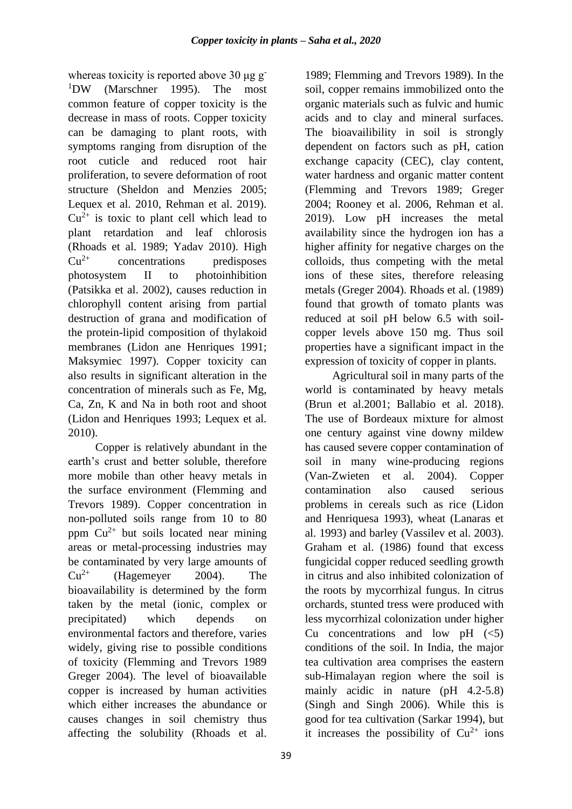whereas toxicity is reported above 30 μg g <sup>1</sup>DW (Marschner 1995). The most common feature of copper toxicity is the decrease in mass of roots. Copper toxicity can be damaging to plant roots, with symptoms ranging from disruption of the root cuticle and reduced root hair proliferation, to severe deformation of root structure (Sheldon and Menzies 2005; Lequex et al. 2010, Rehman et al. 2019).  $Cu^{2+}$  is toxic to plant cell which lead to plant retardation and leaf chlorosis (Rhoads et al. 1989; Yadav 2010). High  $Cu<sup>2+</sup>$  concentrations predisposes photosystem II to photoinhibition (Patsikka et al. 2002), causes reduction in chlorophyll content arising from partial destruction of grana and modification of the protein-lipid composition of thylakoid membranes (Lidon ane Henriques 1991; Maksymiec 1997). Copper toxicity can also results in significant alteration in the concentration of minerals such as Fe, Mg, Ca, Zn, K and Na in both root and shoot (Lidon and Henriques 1993; Lequex et al. 2010).

Copper is relatively abundant in the earth's crust and better soluble, therefore more mobile than other heavy metals in the surface environment (Flemming and Trevors 1989). Copper concentration in non-polluted soils range from 10 to 80 ppm  $Cu^{2+}$  but soils located near mining areas or metal-processing industries may be contaminated by very large amounts of  $Cu^{2+}$  (Hagemeyer 2004). The bioavailability is determined by the form taken by the metal (ionic, complex or precipitated) which depends on environmental factors and therefore, varies widely, giving rise to possible conditions of toxicity (Flemming and Trevors 1989 Greger 2004). The level of bioavailable copper is increased by human activities which either increases the abundance or causes changes in soil chemistry thus affecting the solubility (Rhoads et al.

1989; Flemming and Trevors 1989). In the soil, copper remains immobilized onto the organic materials such as fulvic and humic acids and to clay and mineral surfaces. The bioavailibility in soil is strongly dependent on factors such as pH, cation exchange capacity (CEC), clay content, water hardness and organic matter content (Flemming and Trevors 1989; Greger 2004; Rooney et al. 2006, Rehman et al. 2019). Low pH increases the metal availability since the hydrogen ion has a higher affinity for negative charges on the colloids, thus competing with the metal ions of these sites, therefore releasing metals (Greger 2004). Rhoads et al. (1989) found that growth of tomato plants was reduced at soil pH below 6.5 with soilcopper levels above 150 mg. Thus soil properties have a significant impact in the expression of toxicity of copper in plants.

Agricultural soil in many parts of the world is contaminated by heavy metals (Brun et al.2001; Ballabio et al. 2018). The use of Bordeaux mixture for almost one century against vine downy mildew has caused severe copper contamination of soil in many wine-producing regions (Van-Zwieten et al. 2004). Copper contamination also caused serious problems in cereals such as rice (Lidon and Henriquesa 1993), wheat (Lanaras et al. 1993) and barley (Vassilev et al. 2003). Graham et al. (1986) found that excess fungicidal copper reduced seedling growth in citrus and also inhibited colonization of the roots by mycorrhizal fungus. In citrus orchards, stunted tress were produced with less mycorrhizal colonization under higher Cu concentrations and low  $pH \leq (5)$ conditions of the soil. In India, the major tea cultivation area comprises the eastern sub-Himalayan region where the soil is mainly acidic in nature (pH 4.2-5.8) (Singh and Singh 2006). While this is good for tea cultivation (Sarkar 1994), but it increases the possibility of  $Cu^{2+}$  ions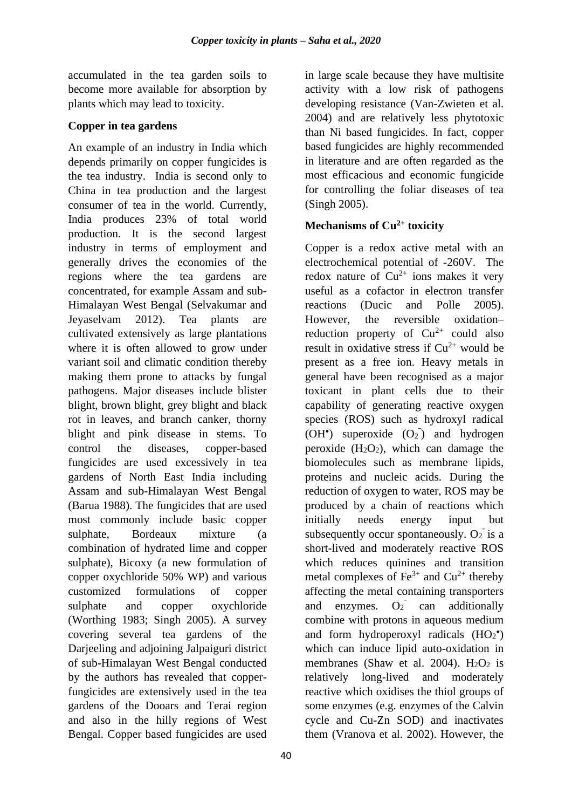accumulated in the tea garden soils to become more available for absorption by plants which may lead to toxicity.

#### **Copper in tea gardens**

An example of an industry in India which depends primarily on copper fungicides is the tea industry. India is second only to China in tea production and the largest consumer of tea in the world. Currently, India produces 23% of total world production. It is the second largest industry in terms of employment and generally drives the economies of the regions where the tea gardens are concentrated, for example Assam and sub-Himalayan West Bengal (Selvakumar and Jeyaselvam 2012). Tea plants are cultivated extensively as large plantations where it is often allowed to grow under variant soil and climatic condition thereby making them prone to attacks by fungal pathogens. Major diseases include blister blight, brown blight, grey blight and black rot in leaves, and branch canker, thorny blight and pink disease in stems. To control the diseases, copper-based fungicides are used excessively in tea gardens of North East India including Assam and sub-Himalayan West Bengal (Barua 1988). The fungicides that are used most commonly include basic copper sulphate, Bordeaux mixture (a combination of hydrated lime and copper sulphate), Bicoxy (a new formulation of copper oxychloride 50% WP) and various customized formulations of copper sulphate and copper oxychloride (Worthing 1983; Singh 2005). A survey covering several tea gardens of the Darjeeling and adjoining Jalpaiguri district of sub-Himalayan West Bengal conducted by the authors has revealed that copperfungicides are extensively used in the tea gardens of the Dooars and Terai region and also in the hilly regions of West Bengal. Copper based fungicides are used

in large scale because they have multisite activity with a low risk of pathogens developing resistance (Van-Zwieten et al. 2004) and are relatively less phytotoxic than Ni based fungicides. In fact, copper based fungicides are highly recommended in literature and are often regarded as the most efficacious and economic fungicide for controlling the foliar diseases of tea (Singh 2005).

# **Mechanisms of Cu2+ toxicity**

Copper is a redox active metal with an electrochemical potential of -260V. The redox nature of  $Cu^{2+}$  ions makes it very useful as a cofactor in electron transfer reactions (Ducic and Polle 2005). However, the reversible oxidation– reduction property of  $Cu^{2+}$  could also result in oxidative stress if  $Cu^{2+}$  would be present as a free ion. Heavy metals in general have been recognised as a major toxicant in plant cells due to their capability of generating reactive oxygen species (ROS) such as hydroxyl radical (OH<sup>\*</sup>) superoxide  $(O_2)$  and hydrogen peroxide  $(H_2O_2)$ , which can damage the biomolecules such as membrane lipids, proteins and nucleic acids. During the reduction of oxygen to water, ROS may be produced by a chain of reactions which initially needs energy input but subsequently occur spontaneously.  $O_2$  is a short-lived and moderately reactive ROS which reduces quinines and transition metal complexes of  $Fe^{3+}$  and  $Cu^{2+}$  thereby affecting the metal containing transporters and enzymes. can additionally combine with protons in aqueous medium and form hydroperoxyl radicals  $(HO_2^{\bullet})$ which can induce lipid auto-oxidation in membranes (Shaw et al. 2004).  $H_2O_2$  is relatively long-lived and moderately reactive which oxidises the thiol groups of some enzymes (e.g. enzymes of the Calvin cycle and Cu-Zn SOD) and inactivates them (Vranova et al. 2002). However, the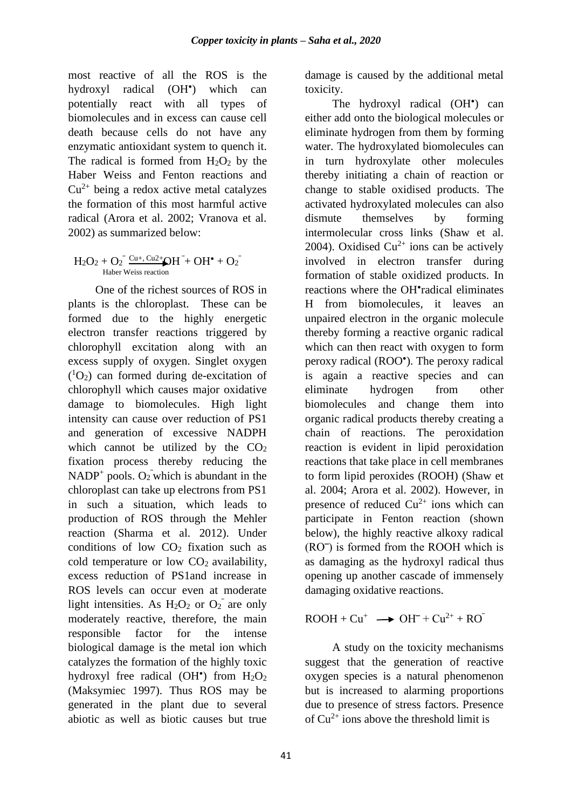most reactive of all the ROS is the hydroxyl radical ) which can potentially react with all types of biomolecules and in excess can cause cell death because cells do not have any enzymatic antioxidant system to quench it. The radical is formed from  $H_2O_2$  by the Haber Weiss and Fenton reactions and  $Cu<sup>2+</sup>$  being a redox active metal catalyzes the formation of this most harmful active radical (Arora et al. 2002; Vranova et al. 2002) as summarized below:

#### $H_2O_2 + O_2^ \frac{Cu_+$ ,  $Cu_2^+$   $OH^+ + OH^+ + O_2^-$ Haber Weiss reaction

One of the richest sources of ROS in plants is the chloroplast. These can be formed due to the highly energetic electron transfer reactions triggered by chlorophyll excitation along with an excess supply of oxygen. Singlet oxygen  $(^{1}O_{2})$  can formed during de-excitation of chlorophyll which causes major oxidative damage to biomolecules. High light intensity can cause over reduction of PS1 and generation of excessive NADPH which cannot be utilized by the  $CO<sub>2</sub>$ fixation process thereby reducing the NADP<sup>+</sup> pools.  $O_2$  which is abundant in the chloroplast can take up electrons from PS1 in such a situation, which leads to production of ROS through the Mehler reaction (Sharma et al. 2012). Under conditions of low  $CO<sub>2</sub>$  fixation such as cold temperature or low  $CO<sub>2</sub>$  availability, excess reduction of PS1and increase in ROS levels can occur even at moderate light intensities. As  $H_2O_2$  or  $O_2$ <sup>-</sup> are only moderately reactive, therefore, the main responsible factor for the intense biological damage is the metal ion which catalyzes the formation of the highly toxic hydroxyl free radical  $(OH<sup>*</sup>)$  from  $H<sub>2</sub>O<sub>2</sub>$ (Maksymiec 1997). Thus ROS may be generated in the plant due to several abiotic as well as biotic causes but true

damage is caused by the additional metal toxicity.

The hydroxyl radical (OH<sup>\*</sup>) can either add onto the biological molecules or eliminate hydrogen from them by forming water. The hydroxylated biomolecules can in turn hydroxylate other molecules thereby initiating a chain of reaction or change to stable oxidised products. The activated hydroxylated molecules can also dismute themselves by forming intermolecular cross links (Shaw et al. 2004). Oxidised  $Cu^{2+}$  ions can be actively involved in electron transfer during formation of stable oxidized products. In reactions where the OH<sup>\*</sup>radical eliminates H from biomolecules, it leaves an unpaired electron in the organic molecule thereby forming a reactive organic radical which can then react with oxygen to form peroxy radical (ROO ). The peroxy radical is again a reactive species and can eliminate hydrogen from other biomolecules and change them into organic radical products thereby creating a chain of reactions. The peroxidation reaction is evident in lipid peroxidation reactions that take place in cell membranes to form lipid peroxides (ROOH) (Shaw et al. 2004; Arora et al. 2002). However, in presence of reduced  $Cu^{2+}$  ions which can participate in Fenton reaction (shown below), the highly reactive alkoxy radical  $(RO<sup>-</sup>)$  is formed from the ROOH which is as damaging as the hydroxyl radical thus opening up another cascade of immensely damaging oxidative reactions.

 $ROOH + Cu^+ \longrightarrow OH^- + Cu^{2+} + RO$ 

A study on the toxicity mechanisms suggest that the generation of reactive oxygen species is a natural phenomenon but is increased to alarming proportions due to presence of stress factors. Presence of  $Cu^{2+}$  ions above the threshold limit is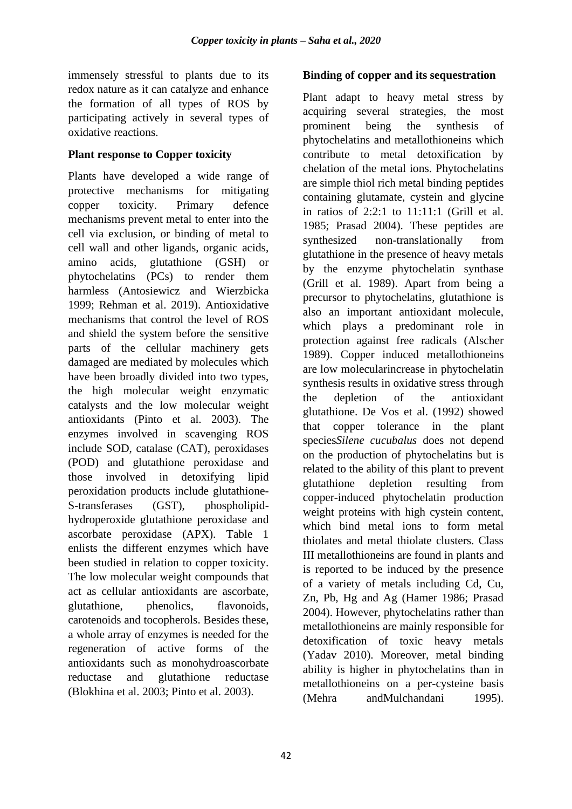immensely stressful to plants due to its redox nature as it can catalyze and enhance the formation of all types of ROS by participating actively in several types of oxidative reactions.

#### **Plant response to Copper toxicity**

Plants have developed a wide range of protective mechanisms for mitigating copper toxicity. Primary defence mechanisms prevent metal to enter into the cell via exclusion, or binding of metal to cell wall and other ligands, organic acids, amino acids, glutathione (GSH) or phytochelatins (PCs) to render them harmless (Antosiewicz and Wierzbicka 1999; Rehman et al. 2019). Antioxidative mechanisms that control the level of ROS and shield the system before the sensitive parts of the cellular machinery gets damaged are mediated by molecules which have been broadly divided into two types, the high molecular weight enzymatic catalysts and the low molecular weight antioxidants (Pinto et al. 2003). The enzymes involved in scavenging ROS include SOD, catalase (CAT), peroxidases (POD) and glutathione peroxidase and those involved in detoxifying lipid peroxidation products include glutathione-S-transferases (GST), phospholipidhydroperoxide glutathione peroxidase and ascorbate peroxidase (APX). Table 1 enlists the different enzymes which have been studied in relation to copper toxicity. The low molecular weight compounds that act as cellular antioxidants are ascorbate, glutathione, phenolics, flavonoids, carotenoids and tocopherols. Besides these, a whole array of enzymes is needed for the regeneration of active forms of the antioxidants such as monohydroascorbate reductase and glutathione reductase (Blokhina et al. 2003; Pinto et al. 2003).

#### **Binding of copper and its sequestration**

Plant adapt to heavy metal stress by acquiring several strategies, the most prominent being the synthesis of phytochelatins and metallothioneins which contribute to metal detoxification by chelation of the metal ions. Phytochelatins are simple thiol rich metal binding peptides containing glutamate, cystein and glycine in ratios of 2:2:1 to 11:11:1 (Grill et al. 1985; Prasad 2004). These peptides are synthesized non-translationally from glutathione in the presence of heavy metals by the enzyme phytochelatin synthase (Grill et al. 1989). Apart from being a precursor to phytochelatins, glutathione is also an important antioxidant molecule, which plays a predominant role in protection against free radicals (Alscher 1989). Copper induced metallothioneins are low molecularincrease in phytochelatin synthesis results in oxidative stress through the depletion of the antioxidant glutathione. De Vos et al. (1992) showed that copper tolerance in the plant species*Silene cucubalus* does not depend on the production of phytochelatins but is related to the ability of this plant to prevent glutathione depletion resulting from copper-induced phytochelatin production weight proteins with high cystein content, which bind metal ions to form metal thiolates and metal thiolate clusters. Class III metallothioneins are found in plants and is reported to be induced by the presence of a variety of metals including Cd, Cu, Zn, Pb, Hg and Ag (Hamer 1986; Prasad 2004). However, phytochelatins rather than metallothioneins are mainly responsible for detoxification of toxic heavy metals (Yadav 2010). Moreover, metal binding ability is higher in phytochelatins than in metallothioneins on a per-cysteine basis (Mehra andMulchandani 1995).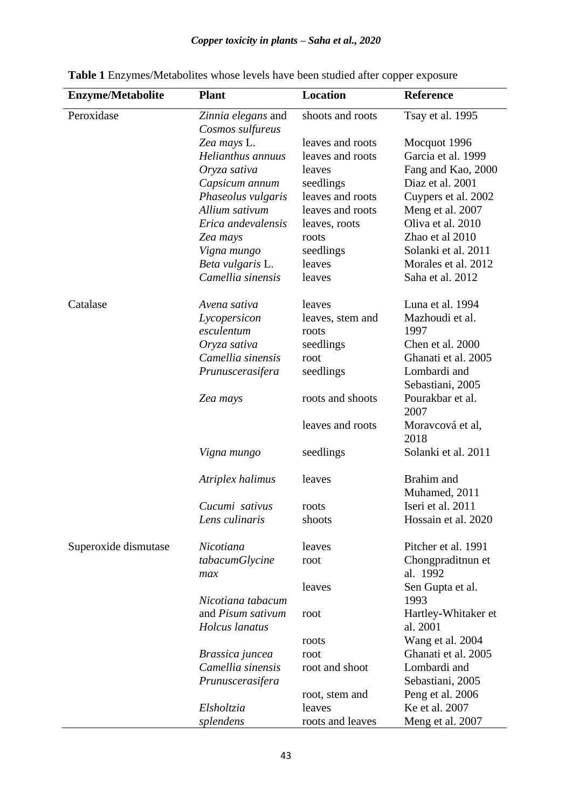# *Copper toxicity in plants – Saha et al., 2020*

| <b>Enzyme/Metabolite</b> | <b>Plant</b>                           | <b>Location</b>  | <b>Reference</b>         |
|--------------------------|----------------------------------------|------------------|--------------------------|
| Peroxidase               | Zinnia elegans and<br>Cosmos sulfureus | shoots and roots | Tsay et al. 1995         |
|                          | Zea mays L.                            | leaves and roots | Mocquot 1996             |
|                          | Helianthus annuus                      | leaves and roots | Garcia et al. 1999       |
|                          | Oryza sativa                           | leaves           | Fang and Kao, 2000       |
|                          | Capsicum annum                         | seedlings        | Diaz et al. 2001         |
|                          | Phaseolus vulgaris                     | leaves and roots | Cuypers et al. 2002      |
|                          | Allium sativum                         | leaves and roots | Meng et al. 2007         |
|                          | Erica andevalensis                     | leaves, roots    | Oliva et al. 2010        |
|                          | Zea mays                               | roots            | Zhao et al 2010          |
|                          | Vigna mungo                            | seedlings        | Solanki et al. 2011      |
|                          | Beta vulgaris L.                       | leaves           | Morales et al. 2012      |
|                          | Camellia sinensis                      | leaves           | Saha et al. 2012         |
| Catalase                 | Avena sativa                           | leaves           | Luna et al. 1994         |
|                          | Lycopersicon                           | leaves, stem and | Mazhoudi et al.          |
|                          | esculentum                             | roots            | 1997                     |
|                          | Oryza sativa                           | seedlings        | Chen et al. 2000         |
|                          | Camellia sinensis                      | root             | Ghanati et al. 2005      |
|                          | Prunuscerasifera                       | seedlings        | Lombardi and             |
|                          |                                        |                  | Sebastiani, 2005         |
|                          | Zea mays                               | roots and shoots | Pourakbar et al.<br>2007 |
|                          |                                        | leaves and roots | Moravcová et al,<br>2018 |
|                          | Vigna mungo                            | seedlings        | Solanki et al. 2011      |
|                          | Atriplex halimus                       | leaves           | Brahim and               |
|                          |                                        |                  | Muhamed, 2011            |
|                          | Cucumi sativus                         | roots            | Iseri et al. 2011        |
|                          | Lens culinaris                         | shoots           | Hossain et al. 2020      |
| Superoxide dismutase     | Nicotiana                              | leaves           | Pitcher et al. 1991      |
|                          | tabacumGlycine                         | root             | Chongpraditnun et        |
|                          | max                                    |                  | al. 1992                 |
|                          |                                        | leaves           | Sen Gupta et al.         |
|                          | Nicotiana tabacum                      |                  | 1993                     |
|                          | and Pisum sativum                      | root             | Hartley-Whitaker et      |
|                          | Holcus lanatus                         |                  | al. 2001                 |
|                          |                                        | roots            | Wang et al. 2004         |
|                          | Brassica juncea                        | root             | Ghanati et al. 2005      |
|                          | Camellia sinensis                      | root and shoot   | Lombardi and             |
|                          | Prunuscerasifera                       |                  | Sebastiani, 2005         |
|                          |                                        | root, stem and   | Peng et al. 2006         |
|                          | Elsholtzia                             | leaves           | Ke et al. 2007           |
|                          | splendens                              | roots and leaves | Meng et al. 2007         |

**Table 1** Enzymes/Metabolites whose levels have been studied after copper exposure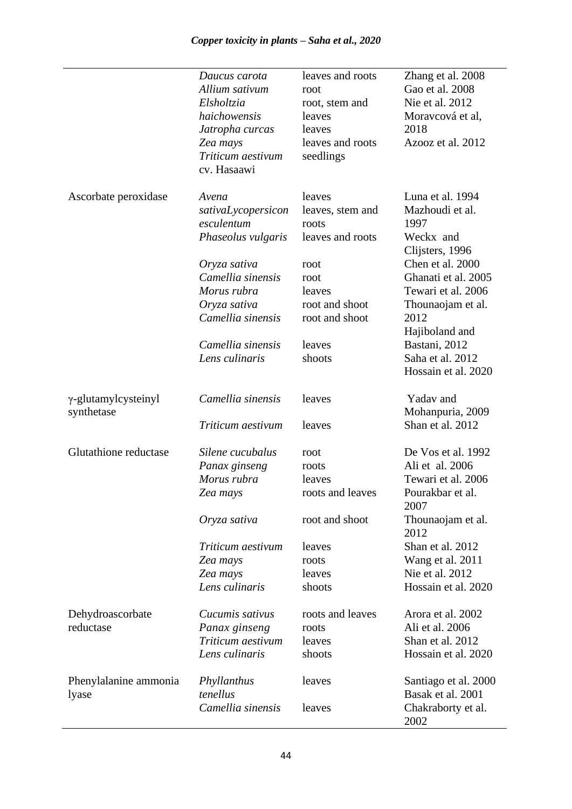|                               | Daucus carota      | leaves and roots | Zhang et al. 2008            |
|-------------------------------|--------------------|------------------|------------------------------|
|                               | Allium sativum     | root             | Gao et al. 2008              |
|                               | Elsholtzia         | root, stem and   | Nie et al. 2012              |
|                               | haichowensis       | leaves           | Moravcová et al,             |
|                               | Jatropha curcas    | leaves           | 2018                         |
|                               | Zea mays           | leaves and roots | Azooz et al. 2012            |
|                               | Triticum aestivum  | seedlings        |                              |
|                               | cv. Hasaawi        |                  |                              |
| Ascorbate peroxidase          | Avena              | leaves           | Luna et al. 1994             |
|                               | sativaLycopersicon | leaves, stem and | Mazhoudi et al.              |
|                               | esculentum         | roots            | 1997                         |
|                               | Phaseolus vulgaris | leaves and roots | Weckx and<br>Clijsters, 1996 |
|                               | Oryza sativa       | root             | Chen et al. 2000             |
|                               | Camellia sinensis  | root             | Ghanati et al. 2005          |
|                               | Morus rubra        | leaves           | Tewari et al. 2006           |
|                               | Oryza sativa       | root and shoot   | Thounaojam et al.            |
|                               | Camellia sinensis  | root and shoot   | 2012                         |
|                               |                    |                  | Hajiboland and               |
|                               | Camellia sinensis  | leaves           | Bastani, 2012                |
|                               | Lens culinaris     | shoots           | Saha et al. 2012             |
|                               |                    |                  | Hossain et al. 2020          |
| $\gamma$ -glutamylcysteinyl   | Camellia sinensis  | leaves           | Yadav and                    |
| synthetase                    |                    |                  | Mohanpuria, 2009             |
|                               | Triticum aestivum  | leaves           | Shan et al. 2012             |
| Glutathione reductase         | Silene cucubalus   | root             | De Vos et al. 1992           |
|                               | Panax ginseng      | roots            | Ali et al. 2006              |
|                               | Morus rubra        | leaves           | Tewari et al. 2006           |
|                               | Zea mays           | roots and leaves | Pourakbar et al.<br>2007     |
|                               | Oryza sativa       | root and shoot   | Thounaojam et al.<br>2012    |
|                               | Triticum aestivum  | leaves           | Shan et al. 2012             |
|                               | Zea mays           | roots            | Wang et al. 2011             |
|                               | Zea mays           | leaves           | Nie et al. 2012              |
|                               | Lens culinaris     | shoots           | Hossain et al. 2020          |
| Dehydroascorbate<br>reductase | Cucumis sativus    | roots and leaves | Arora et al. 2002            |
|                               | Panax ginseng      | roots            | Ali et al. 2006              |
|                               | Triticum aestivum  | leaves           | Shan et al. 2012             |
|                               | Lens culinaris     | shoots           | Hossain et al. 2020          |
| Phenylalanine ammonia         | Phyllanthus        | leaves           | Santiago et al. 2000         |
| lyase                         | tenellus           |                  | Basak et al. 2001            |
|                               | Camellia sinensis  | leaves           | Chakraborty et al.<br>2002   |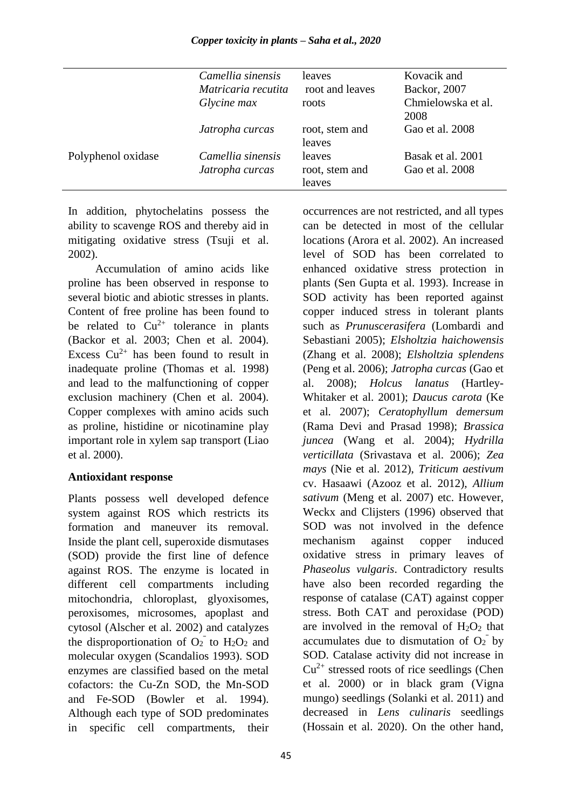|                    | Camellia sinensis<br>Matricaria recutita<br>Glycine max | leaves<br>root and leaves<br>roots | Kovacik and<br>Backor, 2007<br>Chmielowska et al.<br>2008 |
|--------------------|---------------------------------------------------------|------------------------------------|-----------------------------------------------------------|
|                    | Jatropha curcas                                         | root, stem and<br>leaves           | Gao et al. 2008                                           |
| Polyphenol oxidase | Camellia sinensis<br>Jatropha curcas                    | leaves<br>root, stem and<br>leaves | Basak et al. 2001<br>Gao et al. 2008                      |

In addition, phytochelatins possess the ability to scavenge ROS and thereby aid in mitigating oxidative stress (Tsuji et al. 2002).

Accumulation of amino acids like proline has been observed in response to several biotic and abiotic stresses in plants. Content of free proline has been found to be related to  $Cu^{2+}$  tolerance in plants (Backor et al. 2003; Chen et al. 2004). Excess  $Cu^{2+}$  has been found to result in inadequate proline (Thomas et al. 1998) and lead to the malfunctioning of copper exclusion machinery (Chen et al. 2004). Copper complexes with amino acids such as proline, histidine or nicotinamine play important role in xylem sap transport (Liao et al. 2000).

#### **Antioxidant response**

Plants possess well developed defence system against ROS which restricts its formation and maneuver its removal. Inside the plant cell, superoxide dismutases (SOD) provide the first line of defence against ROS. The enzyme is located in different cell compartments including mitochondria, chloroplast, glyoxisomes, peroxisomes, microsomes, apoplast and cytosol (Alscher et al. 2002) and catalyzes the disproportionation of  $O_2$ <sup> $\bar{O}_2$ </sup> to  $H_2O_2$  and molecular oxygen (Scandalios 1993). SOD enzymes are classified based on the metal cofactors: the Cu-Zn SOD, the Mn-SOD and Fe-SOD (Bowler et al. 1994). Although each type of SOD predominates in specific cell compartments, their

occurrences are not restricted, and all types can be detected in most of the cellular locations (Arora et al. 2002). An increased level of SOD has been correlated to enhanced oxidative stress protection in plants (Sen Gupta et al. 1993). Increase in SOD activity has been reported against copper induced stress in tolerant plants such as *Prunuscerasifera* (Lombardi and Sebastiani 2005); *Elsholtzia haichowensis* (Zhang et al. 2008); *Elsholtzia splendens* (Peng et al. 2006); *Jatropha curcas* (Gao et al. 2008); *Holcus lanatus* (Hartley-Whitaker et al. 2001); *Daucus carota* (Ke et al. 2007); *Ceratophyllum demersum* (Rama Devi and Prasad 1998); *Brassica juncea* (Wang et al. 2004); *Hydrilla verticillata* (Srivastava et al. 2006); *Zea mays* (Nie et al. 2012), *Triticum aestivum*  cv. Hasaawi (Azooz et al. 2012), *Allium sativum* (Meng et al. 2007) etc. However, Weckx and Clijsters (1996) observed that SOD was not involved in the defence mechanism against copper induced oxidative stress in primary leaves of *Phaseolus vulgaris*. Contradictory results have also been recorded regarding the response of catalase (CAT) against copper stress. Both CAT and peroxidase (POD) are involved in the removal of  $H_2O_2$  that accumulates due to dismutation of  $O_2$ <sup>-</sup> by SOD. Catalase activity did not increase in  $Cu<sup>2+</sup>$  stressed roots of rice seedlings (Chen et al. 2000) or in black gram (Vigna mungo) seedlings (Solanki et al. 2011) and decreased in *Lens culinaris* seedlings (Hossain et al. 2020). On the other hand,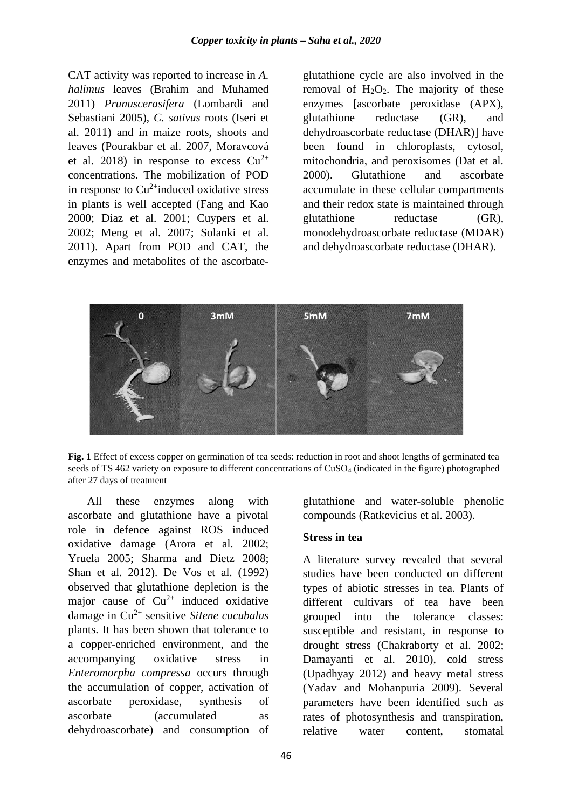CAT activity was reported to increase in *A. halimus* leaves (Brahim and Muhamed 2011) *Prunuscerasifera* (Lombardi and Sebastiani 2005), *C. sativus* roots (Iseri et al. 2011) and in maize roots, shoots and leaves (Pourakbar et al. 2007, Moravcová et al. 2018) in response to excess  $Cu^{2+}$ concentrations. The mobilization of POD in response to  $Cu^{2+}$ induced oxidative stress in plants is well accepted (Fang and Kao 2000; Diaz et al. 2001; Cuypers et al. 2002; Meng et al. 2007; Solanki et al. 2011). Apart from POD and CAT, the enzymes and metabolites of the ascorbateglutathione cycle are also involved in the removal of  $H_2O_2$ . The majority of these enzymes [ascorbate peroxidase (APX), glutathione reductase (GR), and dehydroascorbate reductase (DHAR)] have been found in chloroplasts, cytosol, mitochondria, and peroxisomes (Dat et al. 2000). Glutathione and ascorbate accumulate in these cellular compartments and their redox state is maintained through glutathione reductase (GR), monodehydroascorbate reductase (MDAR) and dehydroascorbate reductase (DHAR).



**Fig. 1** Effect of excess copper on germination of tea seeds: reduction in root and shoot lengths of germinated tea seeds of TS 462 variety on exposure to different concentrations of CuSO<sup>4</sup> (indicated in the figure) photographed after 27 days of treatment

All these enzymes along with ascorbate and glutathione have a pivotal role in defence against ROS induced oxidative damage (Arora et al. 2002; Yruela 2005; Sharma and Dietz 2008; Shan et al. 2012). De Vos et al. (1992) observed that glutathione depletion is the major cause of  $Cu^{2+}$  induced oxidative damage in Cu2+ sensitive *SiIene cucubalus* plants. It has been shown that tolerance to a copper-enriched environment, and the accompanying oxidative stress in *Enteromorpha compressa* occurs through the accumulation of copper, activation of ascorbate peroxidase, synthesis of ascorbate (accumulated as dehydroascorbate) and consumption of glutathione and water-soluble phenolic compounds (Ratkevicius et al. 2003).

#### **Stress in tea**

A literature survey revealed that several studies have been conducted on different types of abiotic stresses in tea. Plants of different cultivars of tea have been grouped into the tolerance classes: susceptible and resistant, in response to drought stress (Chakraborty et al. 2002; Damayanti et al. 2010), cold stress (Upadhyay 2012) and heavy metal stress (Yadav and Mohanpuria 2009). Several parameters have been identified such as rates of photosynthesis and transpiration, relative water content, stomatal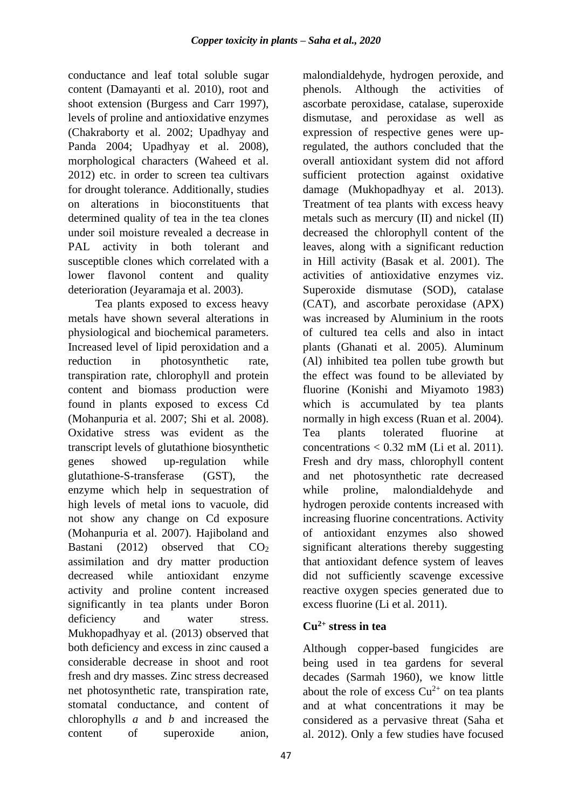conductance and leaf total soluble sugar content (Damayanti et al. 2010), root and shoot extension (Burgess and Carr 1997), levels of proline and antioxidative enzymes (Chakraborty et al. 2002; Upadhyay and Panda 2004; Upadhyay et al. 2008), morphological characters (Waheed et al. 2012) etc. in order to screen tea cultivars for drought tolerance. Additionally, studies on alterations in bioconstituents that determined quality of tea in the tea clones under soil moisture revealed a decrease in PAL activity in both tolerant and susceptible clones which correlated with a lower flavonol content and quality deterioration (Jevaramaja et al. 2003).

Tea plants exposed to excess heavy metals have shown several alterations in physiological and biochemical parameters. Increased level of lipid peroxidation and a reduction in photosynthetic rate, transpiration rate, chlorophyll and protein content and biomass production were found in plants exposed to excess Cd (Mohanpuria et al. 2007; Shi et al. 2008). Oxidative stress was evident as the transcript levels of glutathione biosynthetic genes showed up-regulation while glutathione-S-transferase (GST), the enzyme which help in sequestration of high levels of metal ions to vacuole, did not show any change on Cd exposure (Mohanpuria et al. 2007). Hajiboland and Bastani (2012) observed that  $CO<sub>2</sub>$ assimilation and dry matter production decreased while antioxidant enzyme activity and proline content increased significantly in tea plants under Boron deficiency and water stress. Mukhopadhyay et al. (2013) observed that both deficiency and excess in zinc caused a considerable decrease in shoot and root fresh and dry masses. Zinc stress decreased net photosynthetic rate, transpiration rate, stomatal conductance, and content of chlorophylls *a* and *b* and increased the content of superoxide anion,

47

malondialdehyde, hydrogen peroxide, and phenols. Although the activities of ascorbate peroxidase, catalase, superoxide dismutase, and peroxidase as well as expression of respective genes were upregulated, the authors concluded that the overall antioxidant system did not afford sufficient protection against oxidative damage (Mukhopadhyay et al. 2013). Treatment of tea plants with excess heavy metals such as mercury (II) and nickel (II) decreased the chlorophyll content of the leaves, along with a significant reduction in Hill activity (Basak et al. 2001). The activities of antioxidative enzymes viz. Superoxide dismutase (SOD), catalase (CAT), and ascorbate peroxidase (APX) was increased by Aluminium in the roots of cultured tea cells and also in intact plants (Ghanati et al. 2005). Aluminum (Al) inhibited tea pollen tube growth but the effect was found to be alleviated by fluorine (Konishi and Miyamoto 1983) which is accumulated by tea plants normally in high excess (Ruan et al. 2004). Tea plants tolerated fluorine at concentrations  $< 0.32$  mM (Li et al. 2011). Fresh and dry mass, chlorophyll content and net photosynthetic rate decreased while proline, malondialdehyde and hydrogen peroxide contents increased with increasing fluorine concentrations. Activity of antioxidant enzymes also showed significant alterations thereby suggesting that antioxidant defence system of leaves did not sufficiently scavenge excessive reactive oxygen species generated due to excess fluorine (Li et al. 2011).

# **Cu2+ stress in tea**

Although copper-based fungicides are being used in tea gardens for several decades (Sarmah 1960), we know little about the role of excess  $Cu^{2+}$  on tea plants and at what concentrations it may be considered as a pervasive threat (Saha et al. 2012). Only a few studies have focused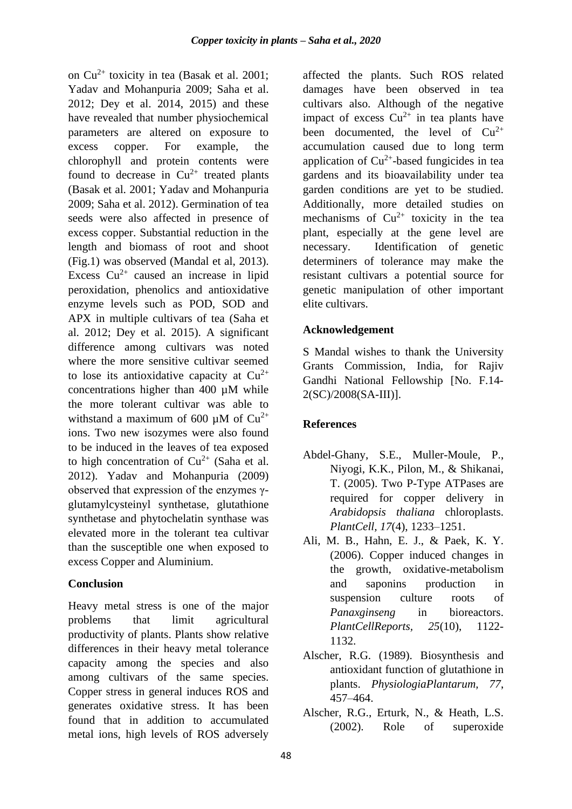on  $Cu^{2+}$  toxicity in tea (Basak et al. 2001; Yadav and Mohanpuria 2009; Saha et al. 2012; Dey et al. 2014, 2015) and these have revealed that number physiochemical parameters are altered on exposure to excess copper. For example, the chlorophyll and protein contents were found to decrease in  $Cu^{2+}$  treated plants (Basak et al. 2001; Yadav and Mohanpuria 2009; Saha et al. 2012). Germination of tea seeds were also affected in presence of excess copper. Substantial reduction in the length and biomass of root and shoot (Fig.1) was observed (Mandal et al, 2013). Excess  $Cu^{2+}$  caused an increase in lipid peroxidation, phenolics and antioxidative enzyme levels such as POD, SOD and APX in multiple cultivars of tea (Saha et al. 2012; Dey et al. 2015). A significant difference among cultivars was noted where the more sensitive cultivar seemed to lose its antioxidative capacity at  $Cu^{2+}$ concentrations higher than 400 µM while the more tolerant cultivar was able to withstand a maximum of 600  $\mu$ M of Cu<sup>2+</sup> ions. Two new isozymes were also found to be induced in the leaves of tea exposed to high concentration of  $Cu^{2+}$  (Saha et al. 2012). Yadav and Mohanpuria (2009) observed that expression of the enzymes γglutamylcysteinyl synthetase, glutathione synthetase and phytochelatin synthase was elevated more in the tolerant tea cultivar than the susceptible one when exposed to excess Copper and Aluminium.

#### **Conclusion**

Heavy metal stress is one of the major problems that limit agricultural productivity of plants. Plants show relative differences in their heavy metal tolerance capacity among the species and also among cultivars of the same species. Copper stress in general induces ROS and generates oxidative stress. It has been found that in addition to accumulated metal ions, high levels of ROS adversely affected the plants. Such ROS related damages have been observed in tea cultivars also. Although of the negative impact of excess  $Cu^{2+}$  in tea plants have been documented, the level of  $Cu^{2+}$ accumulation caused due to long term application of  $Cu^{2+}$ -based fungicides in tea gardens and its bioavailability under tea garden conditions are yet to be studied. Additionally, more detailed studies on mechanisms of  $Cu^{2+}$  toxicity in the tea plant, especially at the gene level are necessary. Identification of genetic determiners of tolerance may make the resistant cultivars a potential source for genetic manipulation of other important elite cultivars.

#### **Acknowledgement**

S Mandal wishes to thank the University Grants Commission, India, for Rajiv Gandhi National Fellowship [No. F.14- 2(SC)/2008(SA-III)].

# **References**

- Abdel-Ghany, S.E., Muller-Moule, P., Niyogi, K.K., Pilon, M., & Shikanai, T. (2005). Two P-Type ATPases are required for copper delivery in *Arabidopsis thaliana* chloroplasts. *PlantCell, 17*(4), 1233–1251.
- Ali, M. B., Hahn, E. J., & Paek, K. Y. (2006). Copper induced changes in the growth, oxidative-metabolism and saponins production in suspension culture roots of *Panaxginseng* in bioreactors. *PlantCellReports, 25*(10), 1122- 1132.
- Alscher, R.G. (1989). Biosynthesis and antioxidant function of glutathione in plants. *PhysiologiaPlantarum, 77*, 457–464.
- Alscher, R.G., Erturk, N., & Heath, L.S. (2002). Role of superoxide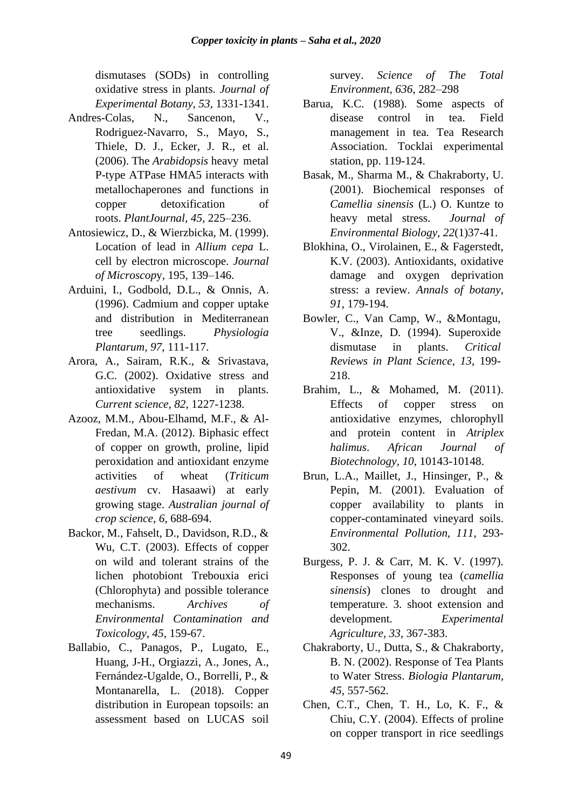dismutases (SODs) in controlling oxidative stress in plants. *Journal of Experimental Botany, 53*, 1331-1341.

- Andres-Colas, N., Sancenon, V., Rodriguez-Navarro, S., Mayo, S., Thiele, D. J., Ecker, J. R., et al. (2006). The *Arabidopsis* heavy metal P-type ATPase HMA5 interacts with metallochaperones and functions in copper detoxification of roots. *PlantJournal, 45*, 225–236.
- Antosiewicz, D., & Wierzbicka, M. (1999). Location of lead in *Allium cepa* L. cell by electron microscope. *Journal of Microscop*y*,* 195, 139–146.
- Arduini, I., Godbold, D.L., & Onnis, A. (1996). Cadmium and copper uptake and distribution in Mediterranean tree seedlings. *Physiologia Plantarum, 97*, 111-117.
- Arora, A., Sairam, R.K., & Srivastava, G.C. (2002). Oxidative stress and antioxidative system in plants. *Current science, 82*, 1227-1238.
- Azooz, M.M., Abou-Elhamd, M.F., & Al-Fredan, M.A. (2012). Biphasic effect of copper on growth, proline, lipid peroxidation and antioxidant enzyme activities of wheat (*Triticum aestivum* cv. Hasaawi) at early growing stage. *Australian journal of crop science, 6*, 688-694.
- Backor, M., Fahselt, D., Davidson, R.D., & Wu, C.T. (2003). Effects of copper on wild and tolerant strains of the lichen photobiont Trebouxia erici (Chlorophyta) and possible tolerance mechanisms. *[Archives of](http://www.ncbi.nlm.nih.gov/pubmed/14565572)  [Environmental Contamination and](http://www.ncbi.nlm.nih.gov/pubmed/14565572)  [Toxicology,](http://www.ncbi.nlm.nih.gov/pubmed/14565572) 45*, 159-67.
- Ballabio, C., Panagos, P., Lugato, E., Huang, J-H., Orgiazzi, A., Jones, A., Fernández-Ugalde, O., Borrelli, P., & Montanarella, L. (2018). Copper distribution in European topsoils: an assessment based on LUCAS soil

survey. *Science of The Total Environment, 636*, 282–298

- Barua, K.C. (1988). Some aspects of disease control in tea. Field management in tea. Tea Research Association. Tocklai experimental station, pp. 119-124.
- Basak, M., Sharma M., & Chakraborty, U. (2001). Biochemical responses of *Camellia sinensis* (L.) O. Kuntze to heavy metal stress. *Journal of Environmental Biology, 22*(1)37-41.
- Blokhina, O., Virolainen, E., & Fagerstedt, K.V. (2003). Antioxidants, oxidative damage and oxygen deprivation stress: a review. *Annals of botany, 91*, 179-194.
- Bowler, C., Van Camp, W., &Montagu, V., &Inze, D. (1994). Superoxide dismutase in plants. *Critical Reviews in Plant Science, 13*, 199- 218.
- Brahim, L., & Mohamed, M. (2011). Effects of copper stress on antioxidative enzymes, chlorophyll and protein content in *Atriplex halimus*. *African Journal of Biotechnology, 10*, 10143-10148.
- Brun, L.A., Maillet, J., Hinsinger, P., & Pepin, M. (2001). Evaluation of copper availability to plants in copper-contaminated vineyard soils. *Environmental Pollution, 111*, 293- 302.
- Burgess, P. J. & Carr, M. K. V. (1997). Responses of young tea (*camellia sinensis*) clones to drought and temperature. 3. shoot extension and development. *Experimental Agriculture, 33*, 367-383.
- Chakraborty, U., Dutta, S., & Chakraborty, B. N. (2002). Response of Tea Plants to Water Stress. *Biologia Plantarum, 45*, 557-562.
- Chen, C.T., Chen, T. H., Lo, K. F., & Chiu, C.Y. (2004). Effects of proline on copper transport in rice seedlings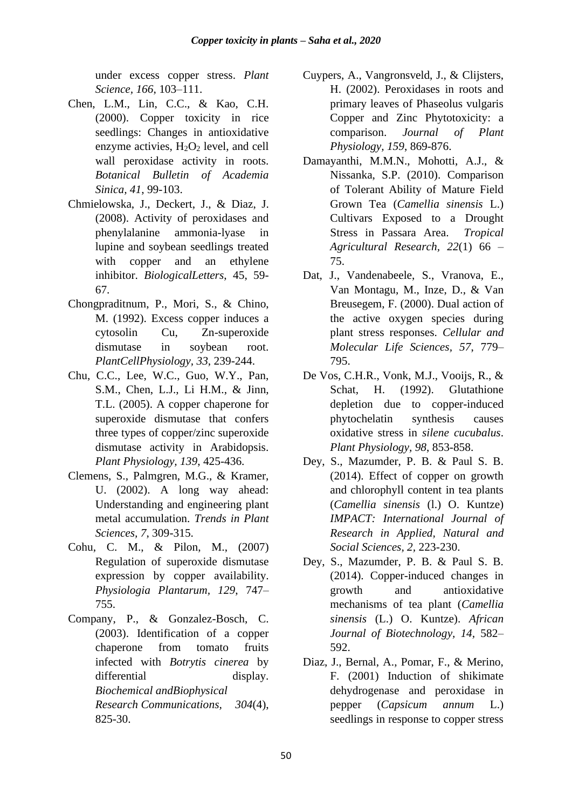under excess copper stress. *Plant Science, 166*, 103–111.

- Chen, L.M., Lin, C.C., & Kao, C.H. (2000). Copper toxicity in rice seedlings: Changes in antioxidative enzyme activies,  $H_2O_2$  level, and cell wall peroxidase activity in roots. *Botanical Bulletin of Academia Sinica, 41*, 99-103.
- Chmielowska, J., Deckert, J., & Diaz, J. (2008). Activity of peroxidases and phenylalanine ammonia-lyase in lupine and soybean seedlings treated with copper and an ethylene inhibitor. *BiologicalLetters*, 45, 59- 67.
- Chongpraditnum, P., Mori, S., & Chino, M. (1992). Excess copper induces a cytosolin Cu, Zn-superoxide dismutase in soybean root. *PlantCellPhysiology, 33*, 239-244.
- Chu, C.C., Lee, W.C., Guo, W.Y., Pan, S.M., Chen, L.J., Li H.M., & Jinn, T.L. (2005). A copper chaperone for superoxide dismutase that confers three types of copper/zinc superoxide dismutase activity in Arabidopsis. *Plant Physiology, 139*, 425-436.
- Clemens, S., Palmgren, M.G., & Kramer, U. (2002). A long way ahead: Understanding and engineering plant metal accumulation. *Trends in Plant Sciences, 7*, 309-315.
- Cohu, C. M., & Pilon, M., (2007) Regulation of superoxide dismutase expression by copper availability. *Physiologia Plantarum, 129*, 747– 755.
- Company, P., & Gonzalez-Bosch, C. (2003). Identification of a copper chaperone from tomato fruits infected with *Botrytis cinerea* by differential display. *Biochemical andBiophysical Research Communications, 304*(4), 825-30.
- Cuypers, A., Vangronsveld, J., & Clijsters, H. (2002). Peroxidases in roots and primary leaves of Phaseolus vulgaris Copper and Zinc Phytotoxicity: a comparison. *Journal of Plant Physiology, 159*, 869-876.
- Damayanthi, M.M.N., Mohotti, A.J., & Nissanka, S.P. (2010). Comparison of Tolerant Ability of Mature Field Grown Tea (*Camellia sinensis* L.) Cultivars Exposed to a Drought Stress in Passara Area. *Tropical Agricultural Research, 22*(1) 66 – 75.
- Dat, J., Vandenabeele, S., Vranova, E., Van Montagu, M., Inze, D., & Van Breusegem, F. (2000). Dual action of the active oxygen species during plant stress responses. *Cellular and Molecular Life Sciences, 57*, 779– 795.
- De Vos, C.H.R., Vonk, M.J., Vooijs, R., & Schat, H. (1992). Glutathione depletion due to copper-induced phytochelatin synthesis causes oxidative stress in *silene cucubalus*. *Plant Physiology, 98*, 853-858.
- Dey, S., Mazumder, P. B. & Paul S. B. (2014). Effect of copper on growth and chlorophyll content in tea plants (*Camellia sinensis* (l.) O. Kuntze) *IMPACT: International Journal of Research in Applied, Natural and Social Sciences, 2,* 223-230.
- Dey, S., Mazumder, P. B. & Paul S. B. (2014). Copper-induced changes in growth and antioxidative mechanisms of tea plant (*Camellia sinensis* (L.) O. Kuntze). *African Journal of Biotechnology, 14,* 582– 592.
- Diaz, J., Bernal, A., Pomar, F., & Merino, F. (2001) Induction of shikimate dehydrogenase and peroxidase in pepper (*Capsicum annum* L.) seedlings in response to copper stress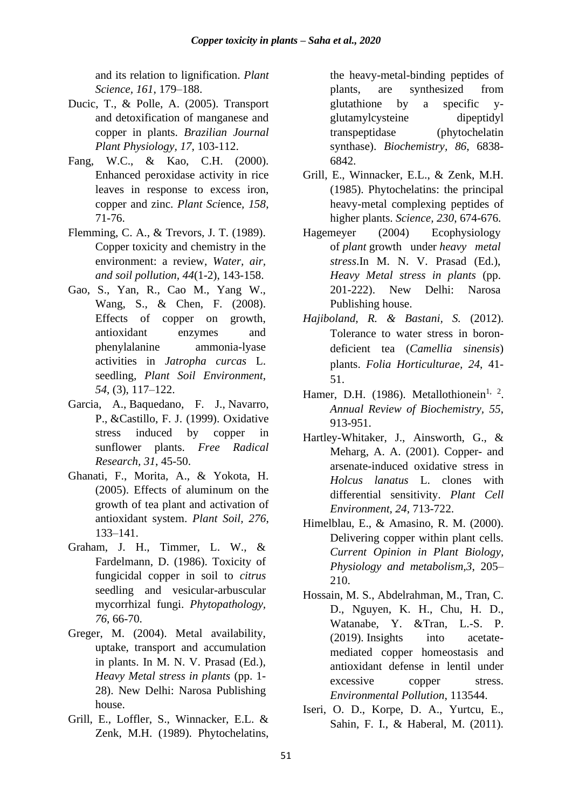and its relation to lignification. *Plant Science, 161*, 179–188.

- Ducic, T., & Polle, A. (2005). Transport and detoxification of manganese and copper in plants. *Brazilian Journal Plant Physiology, 17*, 103-112.
- Fang, W.C., & Kao, C.H. (2000). Enhanced peroxidase activity in rice leaves in response to excess iron, copper and zinc. *Plant Sci*ence*, 158*, 71-76.
- Flemming, C. A., & Trevors, J. T. (1989). Copper toxicity and chemistry in the environment: a review, *Water, air, and soil pollution, 44*(1-2), 143-158.
- Gao, S., Yan, R., Cao M., Yang W., Wang, S., & Chen, F. (2008). Effects of copper on growth, antioxidant enzymes and phenylalanine ammonia-lyase activities in *Jatropha curcas* L. seedling, *Plant Soil Environment*, *54*, (3), 117–122.
- Garcia, A., Baquedano, F. J., Navarro, P., &Castillo, F. J. (1999). Oxidative stress induced by copper in sunflower plants. *Free Radical Research, 31*, 45-50.
- Ghanati, F., Morita, A., & Yokota, H. (2005). Effects of aluminum on the growth of tea plant and activation of antioxidant system. *Plant Soil, 276*, 133–141.
- Graham, J. H., Timmer, L. W., & Fardelmann, D. (1986). Toxicity of fungicidal copper in soil to *citrus* seedling and vesicular-arbuscular mycorrhizal fungi. *Phytopathology, 76*, 66-70.
- Greger, M. (2004). Metal availability, uptake, transport and accumulation in plants. In M. N. V. Prasad (Ed.), *Heavy Metal stress in plants* (pp. 1- 28). New Delhi: Narosa Publishing house.
- Grill, E., Loffler, S., Winnacker, E.L. & Zenk, M.H. (1989). Phytochelatins,

the heavy-metal-binding peptides of plants, are synthesized from glutathione by a specific yglutamylcysteine dipeptidyl transpeptidase (phytochelatin synthase). *Biochemistry, 86*, 6838- 6842.

- Grill, E., Winnacker, E.L., & Zenk, M.H. (1985). Phytochelatins: the principal heavy-metal complexing peptides of higher plants. *Science, 230*, 674-676.
- Hagemeyer (2004) Ecophysiology of *plant* growth under *heavy metal stress*.In M. N. V. Prasad (Ed.), *Heavy Metal stress in plants* (pp. 201-222). New Delhi: Narosa Publishing house.
- *Hajiboland, R. & Bastani, S.* (2012). Tolerance to water stress in borondeficient tea (*Camellia sinensis*) plants. *Folia Horticulturae, 24*, 41- 51.
- Hamer, D.H. (1986). Metallothionein<sup>1, 2</sup>. *Annual Review of Biochemistry, 55*, 913-951.
- Hartley-Whitaker, J., Ainsworth, G., & Meharg, A. A. (2001). Copper- and arsenate-induced oxidative stress in *Holcus lanatus* L. clones with differential sensitivity. *Plant Cell Environment, 24*, 713-722.
- Himelblau, E., & Amasino, R. M. (2000). Delivering copper within plant cells. *Current Opinion in Plant Biology, Physiology and metabolism,3*, 205– 210.
- Hossain, M. S., Abdelrahman, M., Tran, C. D., Nguyen, K. H., Chu, H. D., Watanabe, Y. &Tran, L.-S. P. (2019). Insights into acetatemediated copper homeostasis and antioxidant defense in lentil under excessive copper stress. *Environmental Pollution*, 113544.
- Iseri, O. D., Korpe, D. A., Yurtcu, E., Sahin, F. I., & Haberal, M. (2011).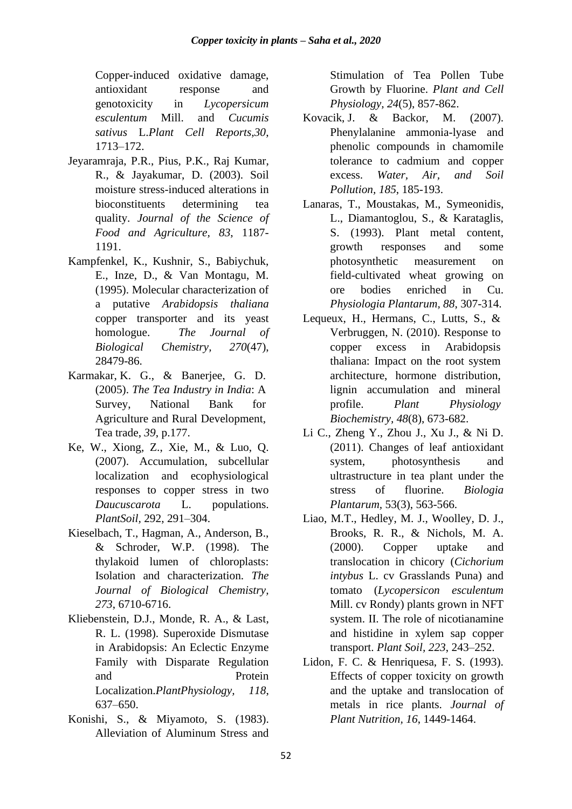Copper-induced oxidative damage, antioxidant response and genotoxicity in *Lycopersicum esculentum* Mill. and *Cucumis sativus* L.*Plant Cell Reports,30*, 1713–172.

- Jeyaramraja, P.R., Pius, P.K., Raj Kumar, R., & Jayakumar, D. (2003). Soil moisture stress-induced alterations in bioconstituents determining tea quality. *Journal of the Science of Food and Agriculture, 83*, 1187- 1191.
- Kampfenkel, K., Kushnir, S., Babiychuk, E., Inze, D., & Van Montagu, M. (1995). Molecular characterization of a putative *Arabidopsis thaliana* copper transporter and its yeast homologue. *The Journal of Biological Chemistry, 270*(47), 28479-86.
- Karmakar, K. G., & Banerjee, G. D. (2005). *The Tea Industry in India*: A Survey, National Bank for Agriculture and Rural Development, Tea trade, *39*, p.177.
- Ke, W., Xiong, Z., Xie, M., & Luo, Q. (2007). Accumulation, subcellular localization and ecophysiological responses to copper stress in two *Daucuscarota* L. populations. *PlantSoil,* 292, 291–304.
- Kieselbach, T., Hagman, A., Anderson, B., & Schroder, W.P. (1998). The thylakoid lumen of chloroplasts: Isolation and characterization. *The Journal of Biological Chemistry, 273*, 6710-6716.
- Kliebenstein, D.J., Monde, R. A., & Last, R. L. (1998). Superoxide Dismutase in Arabidopsis: An Eclectic Enzyme Family with Disparate Regulation and Protein Localization.*PlantPhysiology, 118*, 637–650.
- Konishi, S., & Miyamoto, S. (1983). Alleviation of Aluminum Stress and

Stimulation of Tea Pollen Tube Growth by Fluorine. *Plant and Cell Physiology, 24*(5), 857-862.

- Kovacik, J. & Backor, M. (2007). Phenylalanine ammonia-lyase and phenolic compounds in chamomile tolerance to cadmium and copper excess. *Water, Air, and Soil Pollution, 185*, 185-193.
- Lanaras, T., Moustakas, M., Symeonidis, L., Diamantoglou, S., & Karataglis, S. (1993). Plant metal content, growth responses and some photosynthetic measurement on field-cultivated wheat growing on ore bodies enriched in Cu. *Physiologia Plantarum, 88*, 307-314.
- Lequeux, H., Hermans, C., Lutts, S., & Verbruggen, N. (2010). Response to copper excess in Arabidopsis thaliana: Impact on the root system architecture, hormone distribution, lignin accumulation and mineral profile. *Plant Physiology Biochemistry, 48*(8), 673-682.
- Li C., Zheng Y., Zhou J., Xu J., & Ni D. (2011). Changes of leaf antioxidant system, photosynthesis and ultrastructure in tea plant under the stress of fluorine. *Biologia Plantarum,* 53(3), 563-566.
- Liao, M.T., Hedley, M. J., Woolley, D. J., Brooks, R. R., & Nichols, M. A. (2000). Copper uptake and translocation in chicory (*Cichorium intybus* L. cv Grasslands Puna) and tomato (*Lycopersicon esculentum*  Mill. cv Rondy) plants grown in NFT system. II. The role of nicotianamine and histidine in xylem sap copper transport. *Plant Soil, 223*, 243–252.
- Lidon, F. C. & Henriquesa, F. S. (1993). Effects of copper toxicity on growth and the uptake and translocation of metals in rice plants. *Journal of Plant Nutrition, 16*, 1449-1464.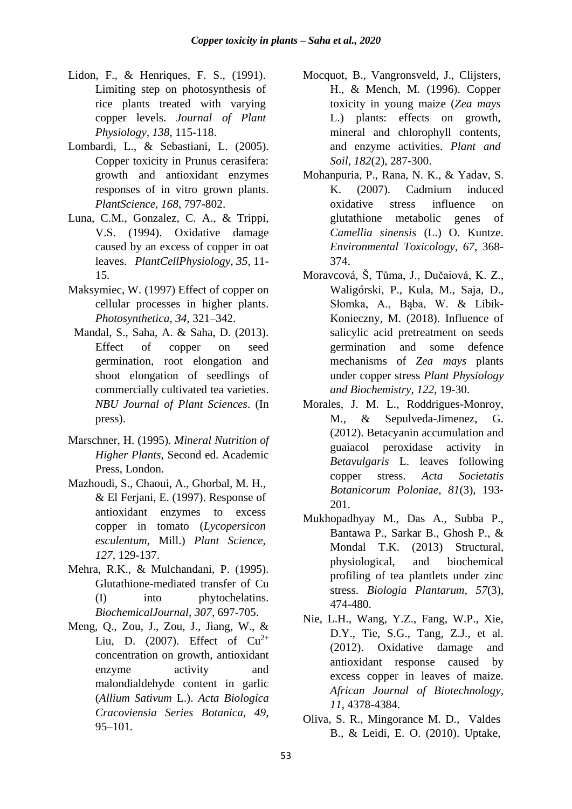- Lidon, F., & Henriques, F. S., (1991). Limiting step on photosynthesis of rice plants treated with varying copper levels. *Journal of Plant Physiology, 138*, 115-118.
- Lombardi, L., & Sebastiani, L. (2005). Copper toxicity in Prunus cerasifera: growth and antioxidant enzymes responses of in vitro grown plants. *PlantScience, 168*, 797-802.
- Luna, C.M., Gonzalez, C. A., & Trippi, V.S. (1994). Oxidative damage caused by an excess of copper in oat leaves. *PlantCellPhysiology, 35*, 11- 15.
- Maksymiec, W. (1997) Effect of copper on cellular processes in higher plants. *Photosynthetica, 34*, 321–342.
- Mandal, S., Saha, A. & Saha, D. (2013). Effect of copper on seed germination, root elongation and shoot elongation of seedlings of commercially cultivated tea varieties. *NBU Journal of Plant Sciences*. (In press).
- Marschner, H. (1995). *Mineral Nutrition of Higher Plants*, Second ed. Academic Press, London.
- Mazhoudi, S., Chaoui, A., Ghorbal, M. H., & El Ferjani, E. (1997). Response of antioxidant enzymes to excess copper in tomato (*Lycopersicon esculentum*, Mill.) *Plant Science, 127*, 129-137.
- Mehra, R.K., & Mulchandani, P. (1995). Glutathione-mediated transfer of Cu (I) into phytochelatins. *BiochemicalJournal, 307*, 697-705.
- Meng, Q., Zou, J., Zou, J., Jiang, W., & Liu, D. (2007). Effect of  $Cu^{2+}$ concentration on growth, antioxidant enzyme activity and malondialdehyde content in garlic (*Allium Sativum* L.). *Acta Biologica Cracoviensia Series Botanica, 49*, 95–101.
- Mocquot, B., Vangronsveld, J., Clijsters, H., & Mench, M. (1996). Copper toxicity in young maize (*Zea mays* L.) plants: effects on growth, mineral and chlorophyll contents, and enzyme activities. *Plant and Soil, 182*(2), 287-300.
- Mohanpuria, P., Rana, N. K., & Yadav, S. K. (2007). Cadmium induced oxidative stress influence on glutathione metabolic genes of *Camellia sinensis* (L.) O. Kuntze. *Environmental Toxicology, 67*, 368- 374.
- Moravcová, Š, Tůma, J., Dučaiová, K. Z., Waligórski, P., Kula, M., Saja, D., Słomka, A., Bąba, W. & Libik-Konieczny, M. (2018). Influence of salicylic acid pretreatment on seeds germination and some defence mechanisms of *Zea mays* plants under copper stress *Plant Physiology and Biochemistry*, *122*, 19-30.
- Morales, J. M. L., Roddrigues-Monroy, M., & Sepulveda-Jimenez, G. (2012). Betacyanin accumulation and guaiacol peroxidase activity in *Betavulgaris* L. leaves following copper stress. *Acta Societatis Botanicorum Poloniae, 81*(3), 193- 201.
- Mukhopadhyay M., Das A., Subba P., Bantawa P., Sarkar B., Ghosh P., & Mondal T.K. (2013) Structural, physiological, and biochemical profiling of tea plantlets under zinc stress. *Biologia Plantarum, 57*(3), 474-480.
- Nie, L.H., Wang, Y.Z., Fang, W.P., Xie, D.Y., Tie, S.G., Tang, Z.J., et al. (2012). Oxidative damage and antioxidant response caused by excess copper in leaves of maize. *African Journal of Biotechnology, 11*, 4378-4384.
- Oliva, S. R., Mingorance M. D., Valdes B., & Leidi, E. O. (2010). Uptake,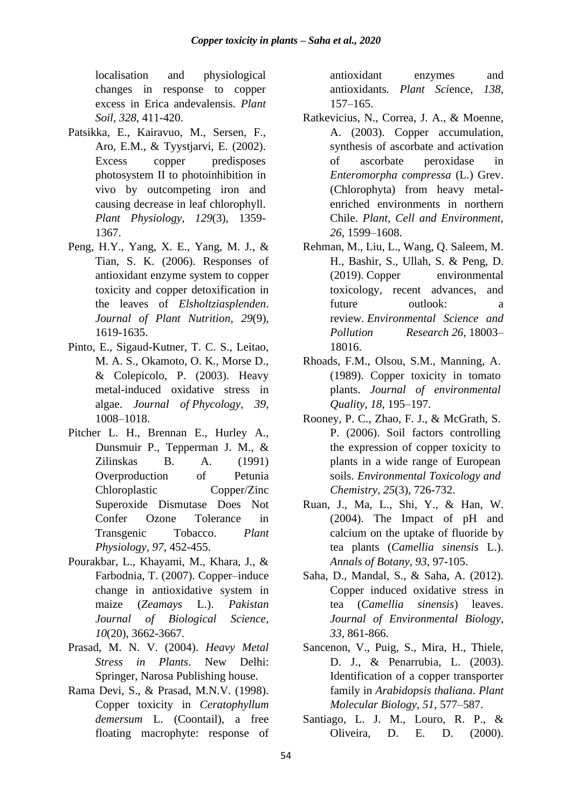localisation and physiological changes in response to copper excess in Erica andevalensis. *Plant Soil, 328*, 411-420.

- Patsikka, E., Kairavuo, M., Sersen, F., Aro, E.M., & Tyystjarvi, E. (2002). Excess copper predisposes photosystem II to photoinhibition in vivo by outcompeting iron and causing decrease in leaf chlorophyll. *Plant Physiology, 129*(3), 1359- 1367.
- Peng, H.Y., Yang, X. E., Yang, M. J., & Tian, S. K. (2006). Responses of antioxidant enzyme system to copper toxicity and copper detoxification in the leaves of *Elsholtziasplenden*. *Journal of Plant Nutrition, 29*(9), 1619-1635.
- Pinto, E., Sigaud-Kutner, T. C. S., Leitao, M. A. S., Okamoto, O. K., Morse D., & Colepicolo, P. (2003). Heavy metal-induced oxidative stress in algae. *Journal of Phycology, 39*, 1008–1018.
- Pitcher L. H., Brennan E., Hurley A., Dunsmuir P., Tepperman J. M., & Zilinskas B. A. (1991) Overproduction of Petunia Chloroplastic Copper/Zinc Superoxide Dismutase Does Not Confer Ozone Tolerance in Transgenic Tobacco. *Plant Physiology, 97*, 452-455.
- Pourakbar, L., Khayami, M., Khara, J., & Farbodnia, T. (2007). Copper–induce change in antioxidative system in maize (*Zeamays* L.). *Pakistan Journal of Biological Science, 10*(20), 3662-3667.
- Prasad, M. N. V. (2004). *Heavy Metal Stress in Plants*. New Delhi: Springer, Narosa Publishing house.
- Rama Devi, S., & Prasad, M.N.V. (1998). Copper toxicity in *Ceratophyllum demersum* L. (Coontail), a free floating macrophyte: response of

antioxidant enzymes and antioxidants*. Plant Sci*ence*, 138*, 157–165.

- Ratkevicius, N., Correa, J. A., & Moenne, A. (2003). Copper accumulation, synthesis of ascorbate and activation of ascorbate peroxidase in *Enteromorpha compressa* (L.) Grev. (Chlorophyta) from heavy metalenriched environments in northern Chile. *Plant, Cell and Environment, 26*, 1599–1608.
- Rehman, M., Liu, L., Wang, Q. Saleem, M. H., Bashir, S., Ullah, S. & Peng, D. (2019). Copper environmental toxicology, recent advances, and future outlook: a review. *Environmental Science and Pollution Research 26*, 18003– 18016.
- Rhoads, F.M., Olsou, S.M., Manning, A. (1989). Copper toxicity in tomato plants. *Journal of environmental Quality, 18*, 195–197.
- Rooney, P. C., Zhao, F. J., & McGrath, S. P. (2006). Soil factors controlling the expression of copper toxicity to plants in a wide range of European soils. *Environmental Toxicology and Chemistry, 25*(3), 726-732.
- Ruan, J., Ma, L., Shi, Y., & Han, W. (2004). The Impact of pH and calcium on the uptake of fluoride by tea plants (*Camellia sinensis* L.). *Annals of Botany, 93*, 97-105.
- Saha, D., Mandal, S., & Saha, A. (2012). Copper induced oxidative stress in tea (*Camellia sinensis*) leaves. *Journal of Environmental Biology, 33*, 861-866.
- Sancenon, V., Puig, S., Mira, H., Thiele, D. J., & Penarrubia, L. (2003). Identification of a copper transporter family in *Arabidopsis thaliana*. *Plant Molecular Biology, 51*, 577–587.
- Santiago, L. J. M., Louro, R. P., & Oliveira, D. E. D. (2000).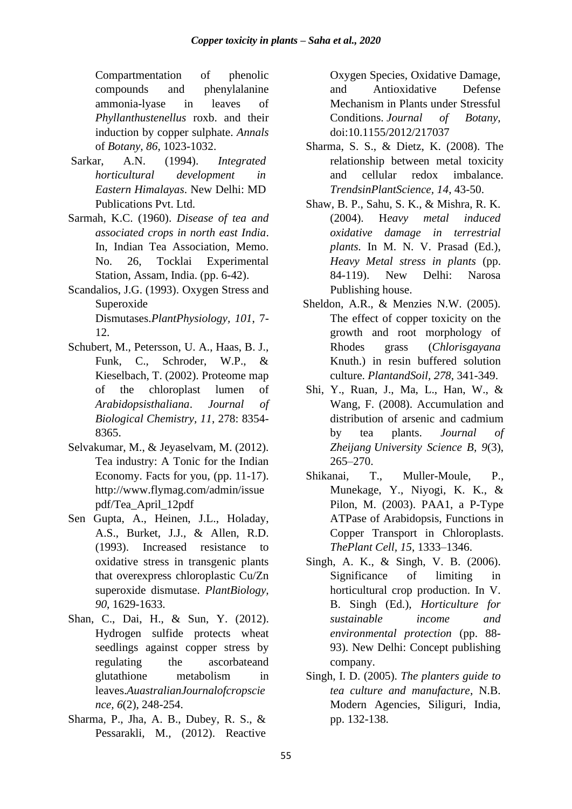Compartmentation of phenolic compounds and phenylalanine ammonia-lyase in leaves of *Phyllanthustenellus* roxb. and their induction by copper sulphate. *Annals* of *Botany, 86*, 1023-1032.

- Sarkar, A.N. (1994). *Integrated horticultural development in Eastern Himalayas*. New Delhi: MD Publications Pvt. Ltd.
- Sarmah, K.C. (1960). *Disease of tea and associated crops in north east India*. In, Indian Tea Association, Memo. No. 26, Tocklai Experimental Station, Assam, India. (pp. 6-42).
- Scandalios, J.G. (1993). Oxygen Stress and Superoxide Dismutases.*PlantPhysiology, 101*, 7- 12.
- Schubert, M., Petersson, U. A., Haas, B. J., Funk, C., Schroder, W.P., & Kieselbach, T. (2002). Proteome map of the chloroplast lumen of *Arabidopsisthaliana*. *Journal of Biological Chemistry, 11*, 278: 8354- 8365.
- Selvakumar, M., & Jeyaselvam, M. (2012). Tea industry: A Tonic for the Indian Economy. Facts for you, (pp. 11-17). http://www.flymag.com/admin/issue pdf/Tea\_April\_12pdf
- Sen Gupta, A., Heinen, J.L., Holaday, A.S., Burket, J.J., & Allen, R.D. (1993). Increased resistance to oxidative stress in transgenic plants that overexpress chloroplastic Cu/Zn superoxide dismutase. *PlantBiology, 90*, 1629-1633.
- Shan, C., Dai, H., & Sun, Y. (2012). Hydrogen sulfide protects wheat seedlings against copper stress by regulating the ascorbateand glutathione metabolism in leaves.*AuastralianJournalofcropscie nce, 6*(2), 248-254.
- Sharma, P., Jha, A. B., Dubey, R. S., & Pessarakli, M., (2012). Reactive

Oxygen Species, Oxidative Damage, and Antioxidative Defense Mechanism in Plants under Stressful Conditions. *Journal of Botany,*  doi:10.1155/2012/217037

- Sharma, S. S., & Dietz, K. (2008). The relationship between metal toxicity and cellular redox imbalance. *TrendsinPlantScience, 14*, 43-50.
- Shaw, B. P., Sahu, S. K., & Mishra, R. K. (2004). H*eavy metal induced oxidative damage in terrestrial plants.* In M. N. V. Prasad (Ed.), *Heavy Metal stress in plants* (pp. 84-119). New Delhi: Narosa Publishing house.
- Sheldon, A.R., & Menzies N.W. (2005). The effect of copper toxicity on the growth and root morphology of Rhodes grass (*Chlorisgayana* Knuth.) in resin buffered solution culture. *PlantandSoil, 278*, 341-349.
- Shi, Y., Ruan, J., Ma, L., Han, W., & Wang, F. (2008). Accumulation and distribution of arsenic and cadmium by tea plants. *Journal of Zheijang University Science B, 9*(3), 265–270.
- Shikanai, T., Muller-Moule, P., Munekage, Y., Niyogi, K. K., & Pilon, M. (2003). PAA1, a P-Type ATPase of Arabidopsis, Functions in Copper Transport in Chloroplasts. *ThePlant Cell, 15*, 1333–1346.
- Singh, A. K., & Singh, V. B. (2006). Significance of limiting in horticultural crop production. In V. B. Singh (Ed.), *Horticulture for sustainable income and environmental protection* (pp. 88- 93). New Delhi: Concept publishing company.
- Singh, I. D. (2005). *The planters guide to tea culture and manufacture*, N.B. Modern Agencies, Siliguri, India, pp. 132-138.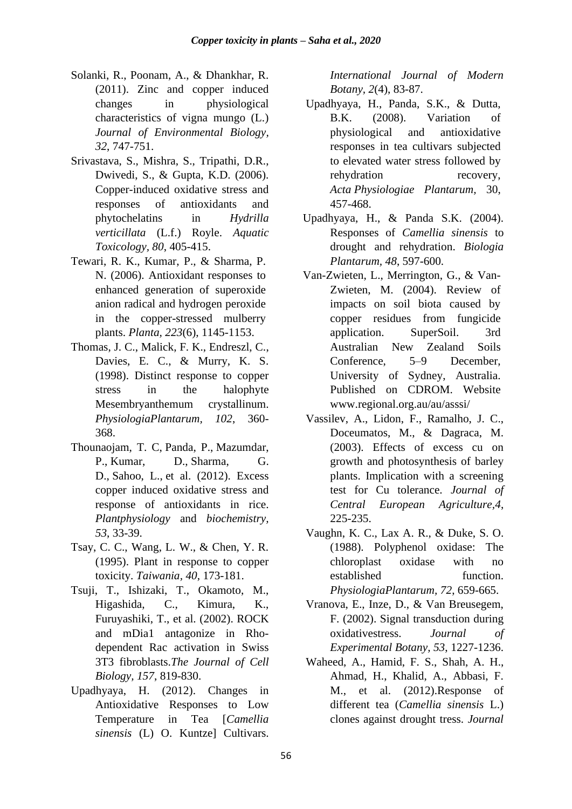- Solanki, R., Poonam, A., & Dhankhar, R. (2011). Zinc and copper induced changes in physiological characteristics of vigna mungo (L.) *Journal of Environmental Biology, 32*, 747-751.
- Srivastava, S., Mishra, S., Tripathi, D.R., Dwivedi, S., & Gupta, K.D. (2006). Copper-induced oxidative stress and responses of antioxidants and phytochelatins in *Hydrilla verticillata* (L.f.) Royle. *Aquatic Toxicology, 80*, 405-415.
- Tewari, R. K., Kumar, P., & Sharma, P. N. (2006). Antioxidant responses to enhanced generation of superoxide anion radical and hydrogen peroxide in the copper-stressed mulberry plants. *Planta, 223*(6), 1145-1153.
- Thomas, J. C., Malick, F. K., Endreszl, C., Davies, E. C., & Murry, K. S. (1998). Distinct response to copper stress in the halophyte Mesembryanthemum crystallinum. *PhysiologiaPlantarum, 102*, 360- 368.
- Thounaojam, T. C, Panda, P., Mazumdar, P., Kumar, D., Sharma, G. D., Sahoo, L., et al. (2012). Excess copper induced oxidative stress and response of antioxidants in rice. *Plantphysiology* and *biochemistry, 53*, 33-39.
- Tsay, C. C., Wang, L. W., & Chen, Y. R. (1995). Plant in response to copper toxicity. *Taiwania, 40*, 173-181.
- Tsuji, T., Ishizaki, T., Okamoto, M., Higashida, C., Kimura, K., Furuyashiki, T., et al. (2002). ROCK and mDia1 antagonize in Rhodependent Rac activation in Swiss 3T3 fibroblasts.*The Journal of Cell Biology, 157*, 819-830.
- Upadhyaya, H. (2012). Changes in Antioxidative Responses to Low Temperature in Tea [*Camellia sinensis* (L) O. Kuntze] Cultivars.

*International Journal of Modern Botany, 2*(4), 83-87.

- Upadhyaya, H., Panda, S.K., & Dutta, B.K. (2008). Variation of physiological and antioxidative responses in tea cultivars subjected to elevated water stress followed by rehydration recovery, *Acta Physiologiae Plantarum,* 30, 457-468.
- Upadhyaya, H., & Panda S.K. (2004). Responses of *Camellia sinensis* to drought and rehydration. *Biologia Plantarum, 48*, 597-600.
- Van-Zwieten, L., Merrington, G., & Van-Zwieten, M. (2004). Review of impacts on soil biota caused by copper residues from fungicide application. SuperSoil. 3rd Australian New Zealand Soils Conference, 5–9 December, University of Sydney, Australia. Published on CDROM. Website [www.regional.org.au/au/asssi/](http://www.regional.org.au/au/asssi/)
- Vassilev, A., Lidon, F., Ramalho, J. C., Doceumatos, M., & Dagraca, M. (2003). Effects of excess cu on growth and photosynthesis of barley plants. Implication with a screening test for Cu tolerance. *Journal of Central European Agriculture,4*, 225-235.
- Vaughn, K. C., Lax A. R., & Duke, S. O. (1988). Polyphenol oxidase: The chloroplast oxidase with no established function. *PhysiologiaPlantarum, 72*, 659-665.
- Vranova, E., Inze, D., & Van Breusegem, F. (2002). Signal transduction during oxidativestress. *Journal of Experimental Botany, 53*, 1227-1236.
- Waheed, A., Hamid, F. S., Shah, A. H., Ahmad, H., Khalid, A., Abbasi, F. M., et al. (2012).Response of different tea (*Camellia sinensis* L.) clones against drought tress. *Journal*